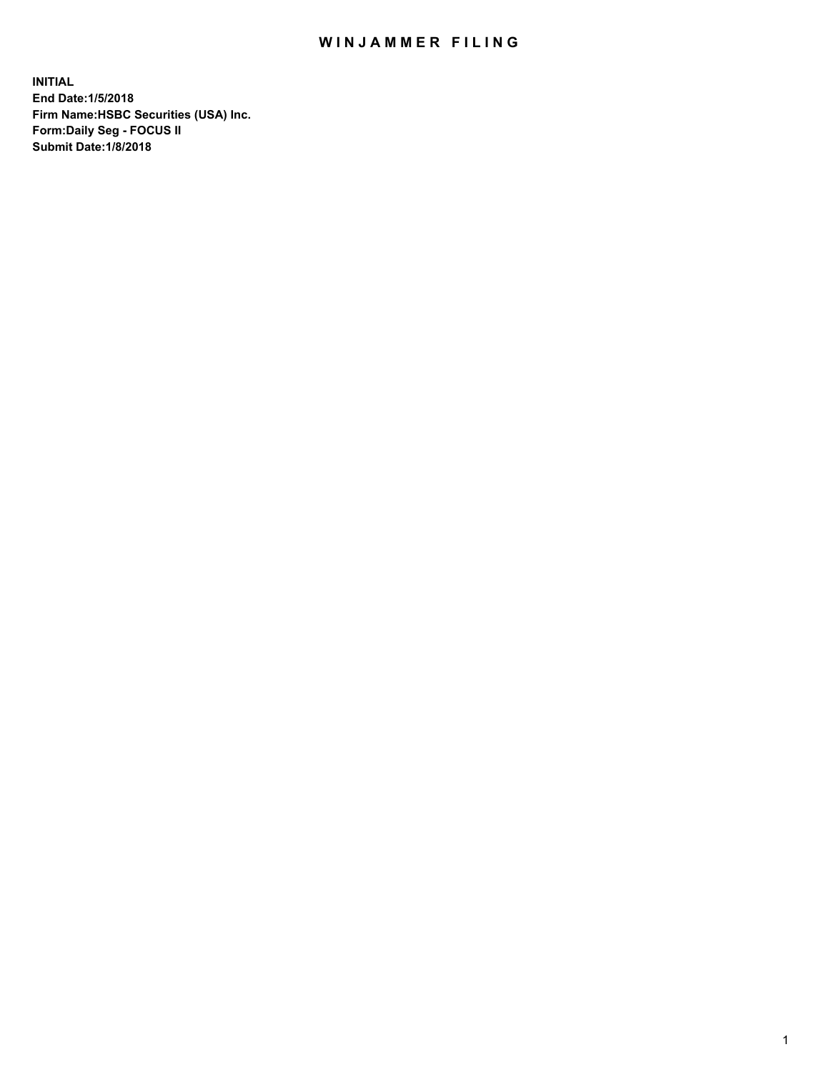## WIN JAMMER FILING

**INITIAL End Date:1/5/2018 Firm Name:HSBC Securities (USA) Inc. Form:Daily Seg - FOCUS II Submit Date:1/8/2018**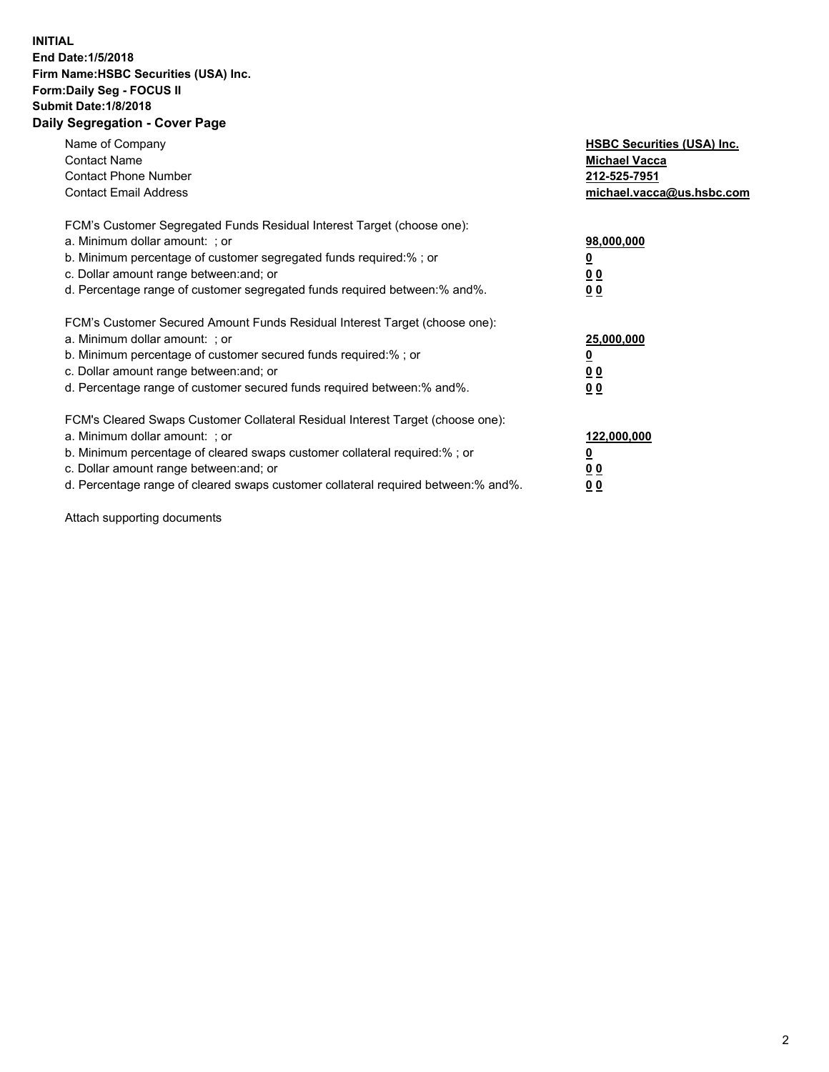## **INITIAL End Date:1/5/2018 Firm Name:HSBC Securities (USA) Inc. Form:Daily Seg - FOCUS II Submit Date:1/8/2018 Daily Segregation - Cover Page**

| Name of Company<br><b>Contact Name</b><br><b>Contact Phone Number</b><br><b>Contact Email Address</b>                                                                                                                                                                                                                         | <b>HSBC Securities (USA) Inc.</b><br><b>Michael Vacca</b><br>212-525-7951<br>michael.vacca@us.hsbc.com |
|-------------------------------------------------------------------------------------------------------------------------------------------------------------------------------------------------------------------------------------------------------------------------------------------------------------------------------|--------------------------------------------------------------------------------------------------------|
| FCM's Customer Segregated Funds Residual Interest Target (choose one):<br>a. Minimum dollar amount: ; or<br>b. Minimum percentage of customer segregated funds required:%; or<br>c. Dollar amount range between: and; or<br>d. Percentage range of customer segregated funds required between: % and %.                       | 98,000,000<br><u>0</u><br><u>00</u><br>00                                                              |
| FCM's Customer Secured Amount Funds Residual Interest Target (choose one):<br>a. Minimum dollar amount: ; or<br>b. Minimum percentage of customer secured funds required:%; or<br>c. Dollar amount range between: and; or<br>d. Percentage range of customer secured funds required between: % and %.                         | 25,000,000<br><u>0</u><br><u>00</u><br>00                                                              |
| FCM's Cleared Swaps Customer Collateral Residual Interest Target (choose one):<br>a. Minimum dollar amount: ; or<br>b. Minimum percentage of cleared swaps customer collateral required:%; or<br>c. Dollar amount range between: and; or<br>d. Percentage range of cleared swaps customer collateral required between:% and%. | 122,000,000<br><u>0</u><br><u>00</u><br><u>00</u>                                                      |

Attach supporting documents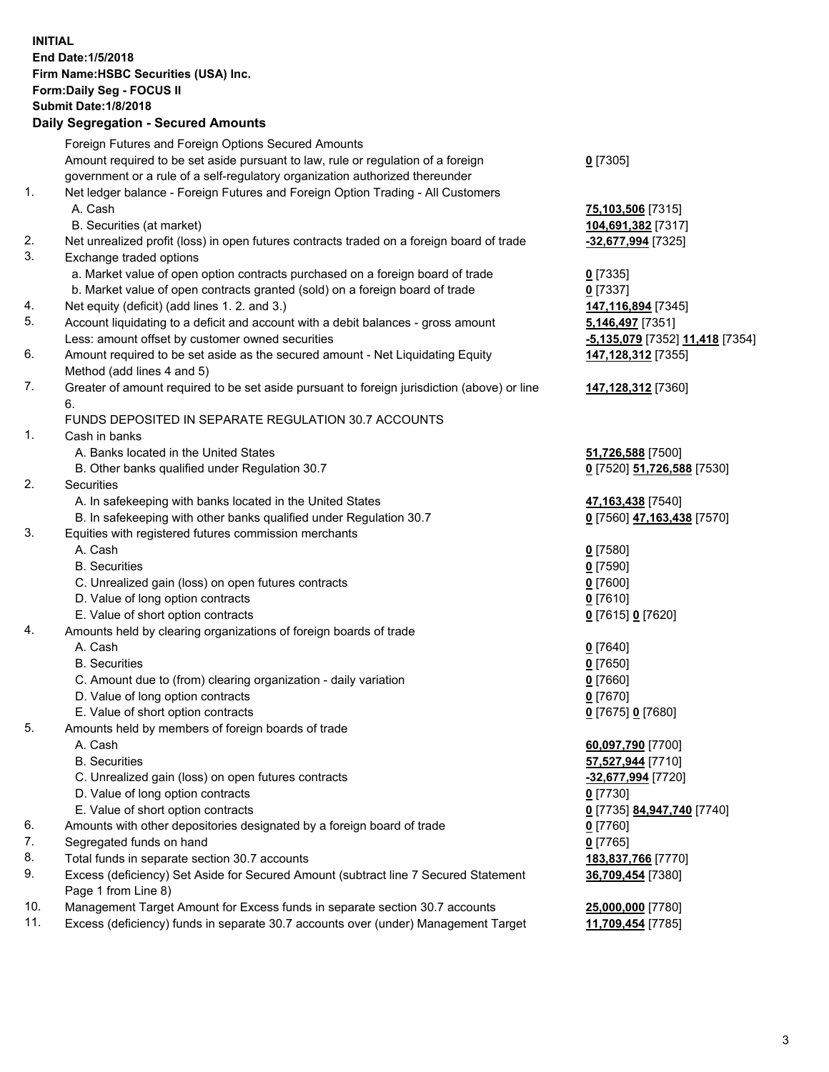**INITIAL End Date:1/5/2018 Firm Name:HSBC Securities (USA) Inc. Form:Daily Seg - FOCUS II Submit Date:1/8/2018 Daily Segregation - Secured Amounts** Foreign Futures and Foreign Options Secured Amounts Amount required to be set aside pursuant to law, rule or regulation of a foreign government or a rule of a self-regulatory organization authorized thereunder **0** [7305] 1. Net ledger balance - Foreign Futures and Foreign Option Trading - All Customers A. Cash **75,103,506** [7315] B. Securities (at market) **104,691,382** [7317] 2. Net unrealized profit (loss) in open futures contracts traded on a foreign board of trade **-32,677,994** [7325] 3. Exchange traded options a. Market value of open option contracts purchased on a foreign board of trade **0** [7335] b. Market value of open contracts granted (sold) on a foreign board of trade **0** [7337] 4. Net equity (deficit) (add lines 1. 2. and 3.) **147,116,894** [7345] 5. Account liquidating to a deficit and account with a debit balances - gross amount **5,146,497** [7351] Less: amount offset by customer owned securities **-5,135,079** [7352] **11,418** [7354] 6. Amount required to be set aside as the secured amount - Net Liquidating Equity Method (add lines 4 and 5) **147,128,312** [7355] 7. Greater of amount required to be set aside pursuant to foreign jurisdiction (above) or line 6. **147,128,312** [7360] FUNDS DEPOSITED IN SEPARATE REGULATION 30.7 ACCOUNTS 1. Cash in banks A. Banks located in the United States **51,726,588** [7500] B. Other banks qualified under Regulation 30.7 **0** [7520] **51,726,588** [7530] 2. Securities A. In safekeeping with banks located in the United States **47,163,438** [7540] B. In safekeeping with other banks qualified under Regulation 30.7 **0** [7560] **47,163,438** [7570] 3. Equities with registered futures commission merchants A. Cash **0** [7580] B. Securities **0** [7590] C. Unrealized gain (loss) on open futures contracts **0** [7600] D. Value of long option contracts **0** [7610] E. Value of short option contracts **0** [7615] **0** [7620] 4. Amounts held by clearing organizations of foreign boards of trade A. Cash **0** [7640] B. Securities **0** [7650] C. Amount due to (from) clearing organization - daily variation **0** [7660] D. Value of long option contracts **0** [7670] E. Value of short option contracts **0** [7675] **0** [7680] 5. Amounts held by members of foreign boards of trade A. Cash **60,097,790** [7700] B. Securities **57,527,944** [7710] C. Unrealized gain (loss) on open futures contracts **-32,677,994** [7720] D. Value of long option contracts **0** [7730] E. Value of short option contracts **0** [7735] **84,947,740** [7740] 6. Amounts with other depositories designated by a foreign board of trade **0** [7760] 7. Segregated funds on hand **0** [7765] 8. Total funds in separate section 30.7 accounts **183,837,766** [7770] 9. Excess (deficiency) Set Aside for Secured Amount (subtract line 7 Secured Statement Page 1 from Line 8) **36,709,454** [7380] 10. Management Target Amount for Excess funds in separate section 30.7 accounts **25,000,000** [7780] 11. Excess (deficiency) funds in separate 30.7 accounts over (under) Management Target **11,709,454** [7785]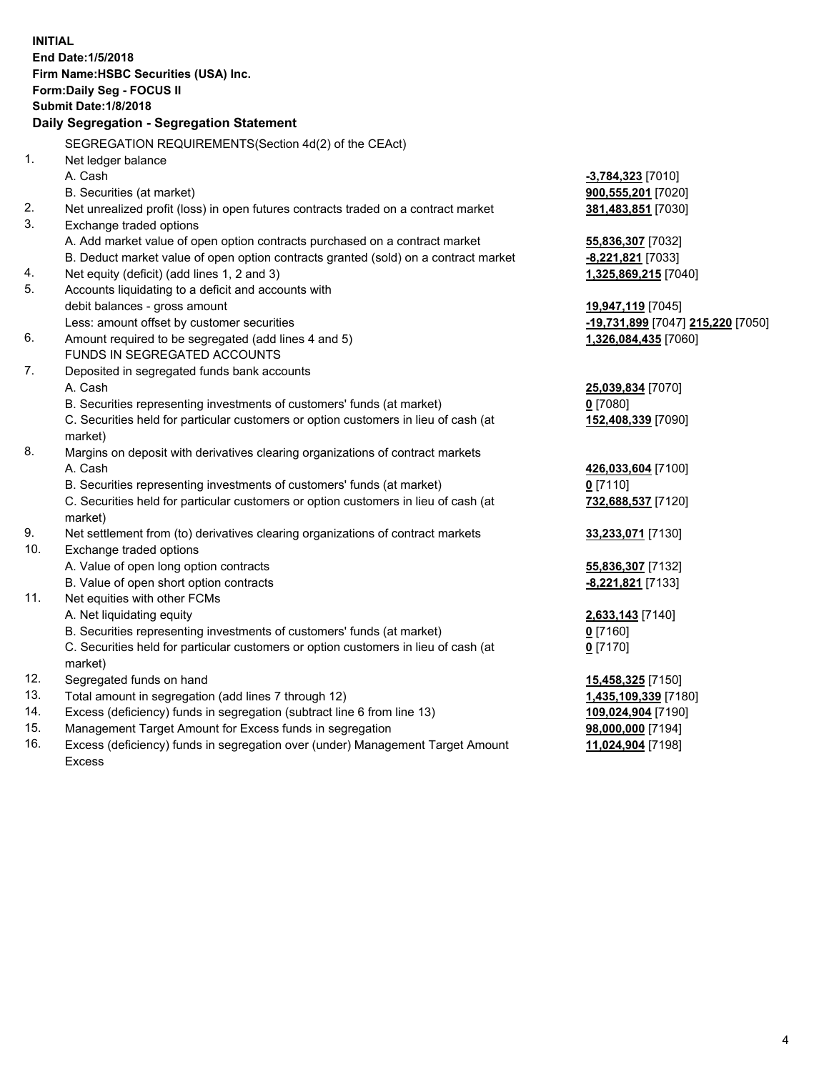| <b>INITIAL</b>                            |                                                                                     |                                   |  |  |
|-------------------------------------------|-------------------------------------------------------------------------------------|-----------------------------------|--|--|
| End Date: 1/5/2018                        |                                                                                     |                                   |  |  |
|                                           | Firm Name: HSBC Securities (USA) Inc.                                               |                                   |  |  |
|                                           | Form: Daily Seg - FOCUS II                                                          |                                   |  |  |
|                                           | <b>Submit Date: 1/8/2018</b>                                                        |                                   |  |  |
| Daily Segregation - Segregation Statement |                                                                                     |                                   |  |  |
|                                           | SEGREGATION REQUIREMENTS(Section 4d(2) of the CEAct)                                |                                   |  |  |
| 1.                                        | Net ledger balance                                                                  |                                   |  |  |
|                                           | A. Cash                                                                             | -3,784,323 [7010]                 |  |  |
|                                           | B. Securities (at market)                                                           | 900,555,201 [7020]                |  |  |
| 2.                                        | Net unrealized profit (loss) in open futures contracts traded on a contract market  | 381,483,851 [7030]                |  |  |
| 3.                                        | Exchange traded options                                                             |                                   |  |  |
|                                           | A. Add market value of open option contracts purchased on a contract market         | 55,836,307 [7032]                 |  |  |
|                                           | B. Deduct market value of open option contracts granted (sold) on a contract market | -8,221,821 [7033]                 |  |  |
| 4.                                        | Net equity (deficit) (add lines 1, 2 and 3)                                         | 1,325,869,215 [7040]              |  |  |
| 5.                                        | Accounts liquidating to a deficit and accounts with                                 |                                   |  |  |
|                                           | debit balances - gross amount                                                       | 19,947,119 [7045]                 |  |  |
|                                           | Less: amount offset by customer securities                                          | -19,731,899 [7047] 215,220 [7050] |  |  |
| 6.                                        | Amount required to be segregated (add lines 4 and 5)                                | 1,326,084,435 [7060]              |  |  |
|                                           | FUNDS IN SEGREGATED ACCOUNTS                                                        |                                   |  |  |
| 7.                                        | Deposited in segregated funds bank accounts                                         |                                   |  |  |
|                                           | A. Cash                                                                             | 25,039,834 [7070]                 |  |  |
|                                           | B. Securities representing investments of customers' funds (at market)              | $0$ [7080]                        |  |  |
|                                           | C. Securities held for particular customers or option customers in lieu of cash (at | 152,408,339 [7090]                |  |  |
|                                           | market)                                                                             |                                   |  |  |
| 8.                                        | Margins on deposit with derivatives clearing organizations of contract markets      |                                   |  |  |
|                                           | A. Cash                                                                             | 426,033,604 [7100]                |  |  |
|                                           | B. Securities representing investments of customers' funds (at market)              | $0$ [7110]                        |  |  |
|                                           | C. Securities held for particular customers or option customers in lieu of cash (at | 732,688,537 [7120]                |  |  |
|                                           | market)                                                                             |                                   |  |  |
| 9.                                        | Net settlement from (to) derivatives clearing organizations of contract markets     | 33,233,071 [7130]                 |  |  |
| 10.                                       | Exchange traded options                                                             |                                   |  |  |
|                                           | A. Value of open long option contracts                                              | 55,836,307 [7132]                 |  |  |
|                                           | B. Value of open short option contracts                                             | -8,221,821 [7133]                 |  |  |
| 11.                                       | Net equities with other FCMs                                                        |                                   |  |  |
|                                           | A. Net liquidating equity                                                           | 2,633,143 [7140]                  |  |  |
|                                           | B. Securities representing investments of customers' funds (at market)              | $0$ [7160]                        |  |  |
|                                           | C. Securities held for particular customers or option customers in lieu of cash (at | $0$ [7170]                        |  |  |
|                                           | market)                                                                             |                                   |  |  |
| 12.                                       | Segregated funds on hand                                                            | 15,458,325 [7150]                 |  |  |
| 13.                                       | Total amount in segregation (add lines 7 through 12)                                | 1,435,109,339 [7180]              |  |  |
| 14.                                       | Excess (deficiency) funds in segregation (subtract line 6 from line 13)             | 109,024,904 [7190]                |  |  |
| 15.                                       | Management Target Amount for Excess funds in segregation                            | 98,000,000 [7194]                 |  |  |
| 16.                                       | Excess (deficiency) funds in segregation over (under) Management Target Amount      | 11,024,904 [7198]                 |  |  |

Excess